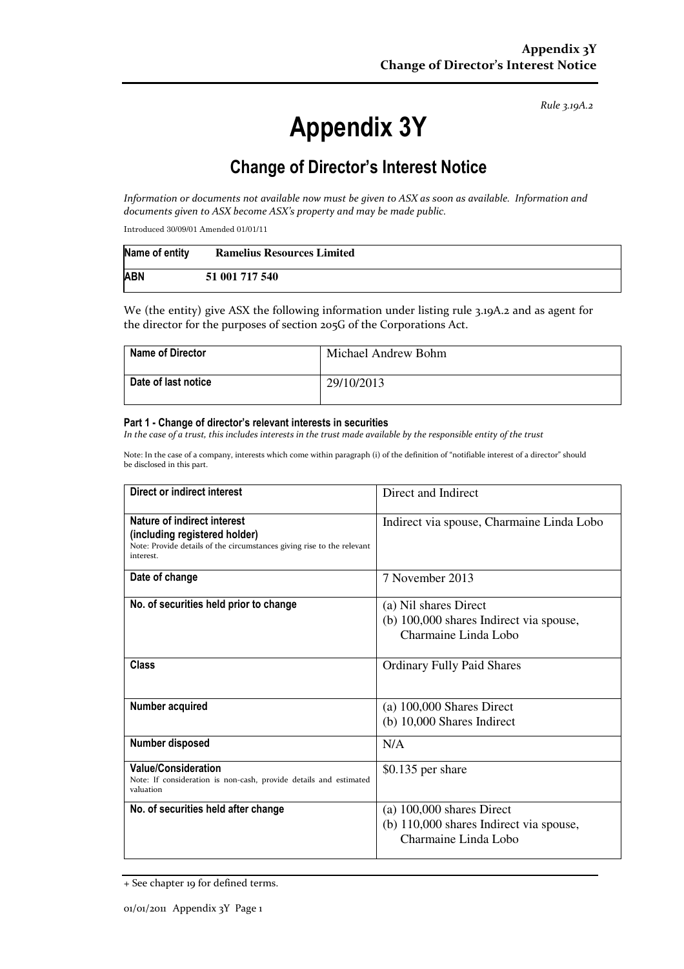Rule 3.19A.2

# Appendix 3Y

# Change of Director's Interest Notice

Information or documents not available now must be given to ASX as soon as available. Information and documents given to ASX become ASX's property and may be made public.

Introduced 30/09/01 Amended 01/01/11

| Name of entity | <b>Ramelius Resources Limited</b> |
|----------------|-----------------------------------|
| <b>ABN</b>     | 51 001 717 540                    |

We (the entity) give ASX the following information under listing rule 3.19A.2 and as agent for the director for the purposes of section 205G of the Corporations Act.

| <b>Name of Director</b> | Michael Andrew Bohm |
|-------------------------|---------------------|
| Date of last notice     | 29/10/2013          |

#### Part 1 - Change of director's relevant interests in securities

In the case of a trust, this includes interests in the trust made available by the responsible entity of the trust

Note: In the case of a company, interests which come within paragraph (i) of the definition of "notifiable interest of a director" should be disclosed in this part.

| Direct or indirect interest                                                                                                                         | Direct and Indirect                       |  |
|-----------------------------------------------------------------------------------------------------------------------------------------------------|-------------------------------------------|--|
| Nature of indirect interest<br>(including registered holder)<br>Note: Provide details of the circumstances giving rise to the relevant<br>interest. | Indirect via spouse, Charmaine Linda Lobo |  |
| Date of change                                                                                                                                      | 7 November 2013                           |  |
| No. of securities held prior to change                                                                                                              | (a) Nil shares Direct                     |  |
|                                                                                                                                                     | (b) 100,000 shares Indirect via spouse,   |  |
|                                                                                                                                                     | Charmaine Linda Lobo                      |  |
| Class                                                                                                                                               | <b>Ordinary Fully Paid Shares</b>         |  |
| Number acquired                                                                                                                                     | $(a)$ 100,000 Shares Direct               |  |
|                                                                                                                                                     | $(b)$ 10,000 Shares Indirect              |  |
| Number disposed                                                                                                                                     | N/A                                       |  |
| <b>Value/Consideration</b><br>Note: If consideration is non-cash, provide details and estimated<br>valuation                                        | $$0.135$ per share                        |  |
| No. of securities held after change                                                                                                                 | $(a)$ 100,000 shares Direct               |  |
|                                                                                                                                                     | (b) 110,000 shares Indirect via spouse,   |  |
|                                                                                                                                                     | Charmaine Linda Lobo                      |  |

<sup>+</sup> See chapter 19 for defined terms.